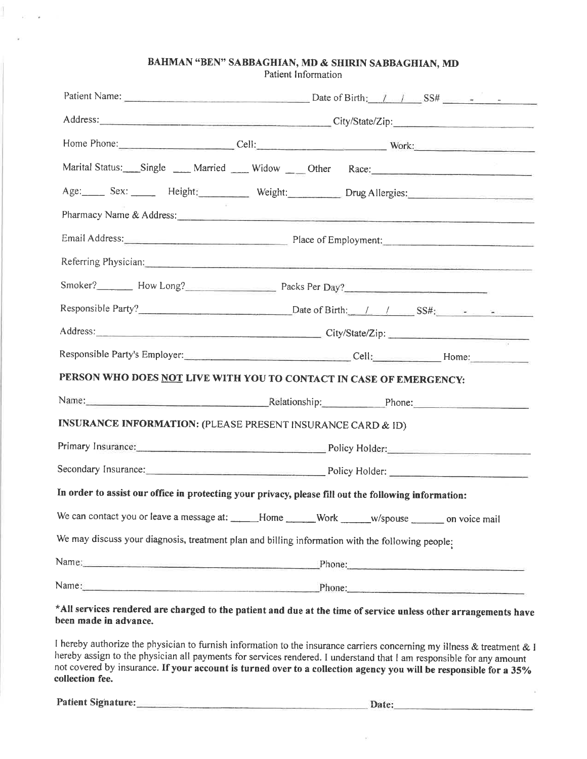#### BAHMAN "BEN" SABBAGHIAN, MD & SHIRIN SABBAGHIAN, MD

Patient Information

|                                                                        | Address: City/State/Zip: City/State/Zip:                                                                                                                                                                                         |
|------------------------------------------------------------------------|----------------------------------------------------------------------------------------------------------------------------------------------------------------------------------------------------------------------------------|
|                                                                        | Home Phone: Cell: Cell: Work: Work:                                                                                                                                                                                              |
|                                                                        | Marital Status: Single Married Midow Dther Race:                                                                                                                                                                                 |
|                                                                        | Age: Sex: Height: Weight: Drug Allergies:                                                                                                                                                                                        |
|                                                                        | Pharmacy Name & Address: 2008. The Contract of the Contract of the Contract of the Contract of the Contract of the Contract of the Contract of the Contract of the Contract of the Contract of the Contract of the Contract of   |
|                                                                        | Email Address: Place of Employment: Place of Employment:                                                                                                                                                                         |
|                                                                        | Referring Physician: Commission Commission Commission Commission Commission Commission Commission Commission                                                                                                                     |
|                                                                        | Smoker? Mow Long? Mow Long Packs Per Day? Moker Day 2                                                                                                                                                                            |
|                                                                        | Responsible Party? <u>Nate of Birth: / / / SS#: a a set of</u>                                                                                                                                                                   |
|                                                                        |                                                                                                                                                                                                                                  |
|                                                                        | Responsible Party's Employer:<br>Cell: Home: Home: Home: Home: Home: Home: Home: Home: Home: Home: Home: Home: Home: Home: Home: Home: Home: Home: Home: Home: Home: Home: Home: Home: Home: Home: Home: Home: Home: Home: Home: |
|                                                                        | PERSON WHO DOES NOT LIVE WITH YOU TO CONTACT IN CASE OF EMERGENCY:                                                                                                                                                               |
|                                                                        | Name: Phone: Phone: Phone:                                                                                                                                                                                                       |
| <b>INSURANCE INFORMATION: (PLEASE PRESENT INSURANCE CARD &amp; ID)</b> |                                                                                                                                                                                                                                  |
|                                                                        | Primary Insurance: Policy Holder: Policy Holder:                                                                                                                                                                                 |
|                                                                        |                                                                                                                                                                                                                                  |
|                                                                        | In order to assist our office in protecting your privacy, please fill out the following information:                                                                                                                             |
|                                                                        | We can contact you or leave a message at: _____Home ______Work _____w/spouse _______ on voice mail                                                                                                                               |
|                                                                        | We may discuss your diagnosis, treatment plan and billing information with the following people:                                                                                                                                 |
| Name: Name:                                                            | Phone:                                                                                                                                                                                                                           |
| Name:                                                                  | Phone:                                                                                                                                                                                                                           |
|                                                                        | $*$ All services rendered are showed to the notice of $X = (1, 1, 1)$                                                                                                                                                            |

#### \*All services rendered are charged fo the patient and due at the time of service unless other arrangements have been made in advance.

I hereby authorize the physician to furnish information to the insurance carriers concerning my illness & treatment & I hereby assign to the physician all payments for services rendered. I understand that I am responsible for any amount not covered by insurance. If your account is turned over to a collection agency you will be responsible for a 35% collection fee.

Patient Signature: Mathematic School and School and School and School and School and School and School and School and School and School and School and School and School and School and School and School and School and Schoo

 $\alpha$ 

÷,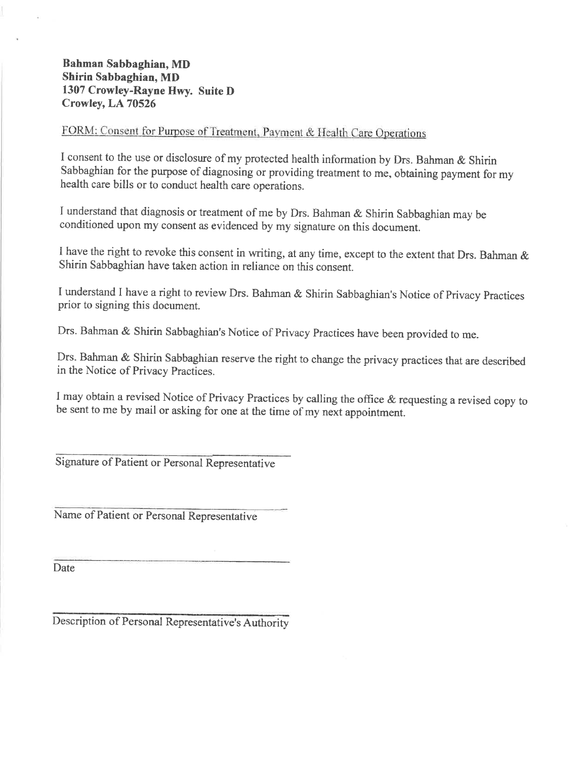#### Bahman Sabbaghian, MD Shirin Sabbaghian, MD 1307 Crowley-Rayne Hwy. Suite D Crowley, LA 70526

## FORM: Consent for Purpose of Treatment, Payment & Health Care Operations

I consent to the use or disclosure of my protected health information by Drs. Bahman & Shirin Sabbaghian for the purpose of diagnosing or providing treatment to me, obtaining payment for my health care bills or to conduct health care operations.

I understand that diagnosis or treatment of me by Drs. Bahman & Shirin Sabbaghian may be conditioned upon my consent as evidenced by my signature on this document.

I have the right to revoke this consent in writing, at any time, except to the extent that Drs. Bahman & shirin sabbaghian have taken action in reliance on this consent.

I understand I have a right to review Drs. Bahman & Shirin Sabbaghian's Notice of Privacy practices prior to signing this document.

Drs. Bahman & Shirin Sabbaghian's Notice of Privacy Practices have been provided to me.

Drs. Bahman & Shirin Sabbaghian reserve the right to change the privacy practices that are described in the Notice of Privacy Practices.

<sup>I</sup>may obtain a revised Notice of Privacy Practices by calling the office & requesting a revised copy to be sent to me by mail or asking for one at the time of my next appointment.

Signature of Patient or Personal Representative

Name of Patient or Personal Representative

Date

Description of Personal Representative's Authority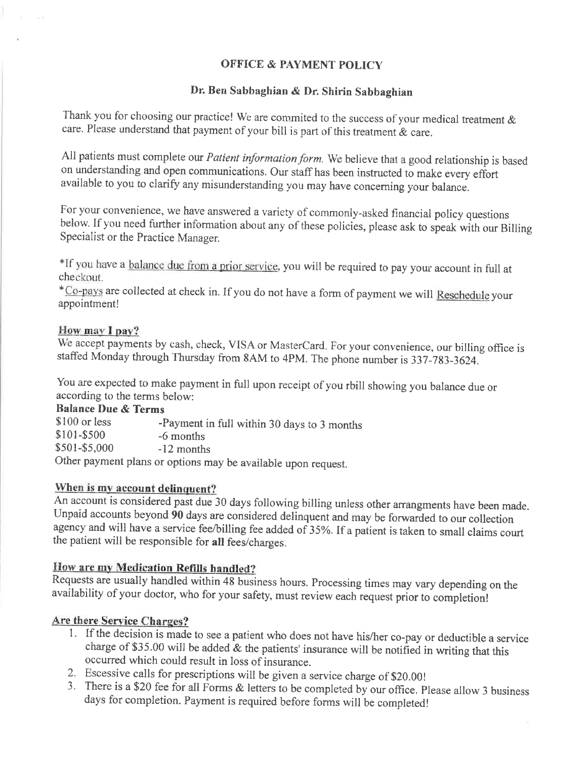#### OFFICE & PAYMENT POLICY

#### Dr. Ben Sabbaghian & Dr. Shirin Sabbaghian

Thank you for choosing our practice! We are commited to the success of your medical treatment  $\&$ care. Please understand that payment of your bill is part of this treatment & care.

All patients must complete our *Patient information form*. We believe that a good relationship is based on understanding and open communications. Our staff has been instructed to make every effort available to you to clarify any misunderstanding you may have concerning your balance.

For your convenience, we have answered a variety of commonly-asked financiai policy questions below. If you need further information about any of these policies, please ask to speak with our Billing Specialist or the Practice Manager.

\*lf you have a balance due trom a prior service. you will be required to pay your account in full at checkout.

\*Co-pays are collected at check in. If you do not have a form of payment we will Rcschedule your appointment!

#### How may I pay?

We accept payments by cash, check, VISA or MasterCard. For your convenience, our billing office is staffed Monday through Thursday from 8AM to 4PM. The phone number is 337-783-3624.

You are expected to make payment in full upon receipt of you rbill showing you balance due or according to the terms below:

**Balance Due & Terms**<br>\$100 or less -

\$100 or less -Payment in full within 30 days to 3 months \$101-\$500 -6 months  $$501-$5,000$  -12 months Other payment plans or options may be available upon request.

### When is my account delinquent?

An account is considered past due 30 days foliowing billing uniess other arrangments have been made. Unpaid accounts beyond 90 days are considered delinquent and may be forwarded to our collection agency and will have a service fee/billing fee added of 35%. If a patient is taken to small claims court the patient will be responsible for all fees/charges.

#### How are my Medication Refills handled?

Requests are usually handled within 48 business hours. Processing times may vary depending on the availability of your doctor, who for your safety, must review each request prior to completion!

### Are there Service Charges?

- <sup>l</sup> If the decision is made to see a patient who does not have his/her co-pay or deductible a service charge of \$35.00 will be added  $\&$  the patients' insurance will be notified in writing that this occurred which could result in loss of insurance.<br>2. Escessive calls for prescriptions will be given a service charge of \$20.00!
- 
- 3. There is a \$20 fee for all Forms  $\&$  letters to be completed by our office. Please allow 3 business days for completion. Payment is required before forms will be completed!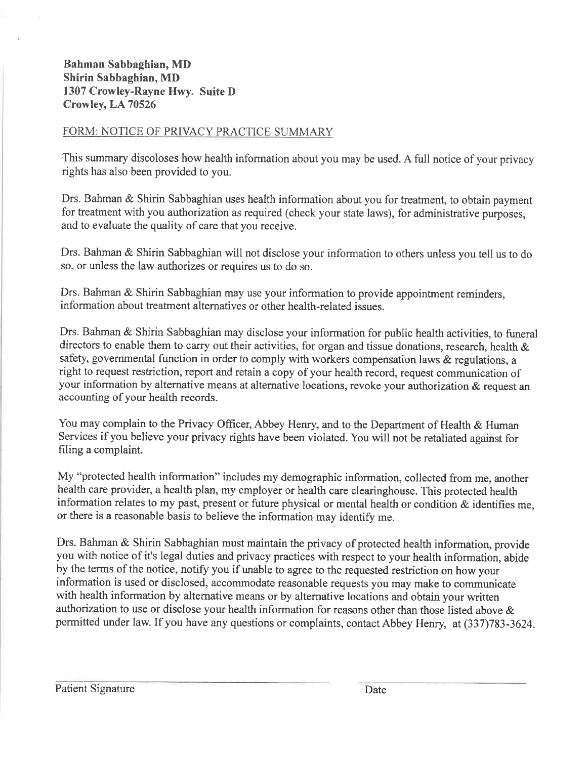Bahman Sabbaghian, MD Shirin Sabbaghian, MD 1307 Crowley-Rayne Hwy. Suite D Crowley, LA 70526

#### FORM: NOTICE OF PRIVACY PRACTICE SUMMARY

This summary discoloses how health information about you may be used. A full notice of your privacy rights has also been provided to you.

Drs. Bahman & Shirin Sabbaghian uses health information about you for treatment. to obtain payment for treatment with you authorization as required (check your state laws), for administrative purposes, and to evaluate the quality of care that you receive.

Drs. Bahman & Shirin Sabbaghian will not disclose your infornation to others unless you tell us to do so, or unless the law authorizes or requires us to do so.

Drs. Bahman & Shirin Sabbaghian may use your information to provide appointment reminders, information about treatment alternatives or other health-related issues.

Drs. Bahman & Shirin Sabbaghian may disclose your information for public health activities, to funeral directors to enable them to carry out their activities, for organ and tissue donations, research, health & safety, governmental function in order to comply with workers compensation laws & regulations, <sup>a</sup> right to request restriction, report and retain a copy of your health record, request communication of your information by alternative means at alternative locations, revoke your authorization  $\&$  request an accounting of your health records.

You may complain to the Privacy Officer, Abbey Henry, and to the Department of Health & Human Services if you believe your privacy rights have been violated. You will not be retaliated against for filing a complaint.

My "protected health information" includes my demographic information, collected from me, another health care provider, a health plan, my employer or health care clearinghouse. This protected health information relates to my past, present or future physical or mental health or condition  $\&$  identifies me, or there is a reasonable basis to believe the information may identify me.

Drs. Bahman & Shirin Sabbaghian must maintain the privacy of protected health information, provide you with notice of it's legal duties and privacy practices with respect to your health information, abide by the terms of the notice, notify you if unable to agree to the requested restriction on how your information is used or disclosed, accommodate reasonable requests you may make to communicate with health information by alternative means or by alternative locations and obtain your written authorization to use or disclose your health information for reasons other than those listed above & permitted under law. If you have any questions or complaints, contact Abbey Henry, at (337)783-3624.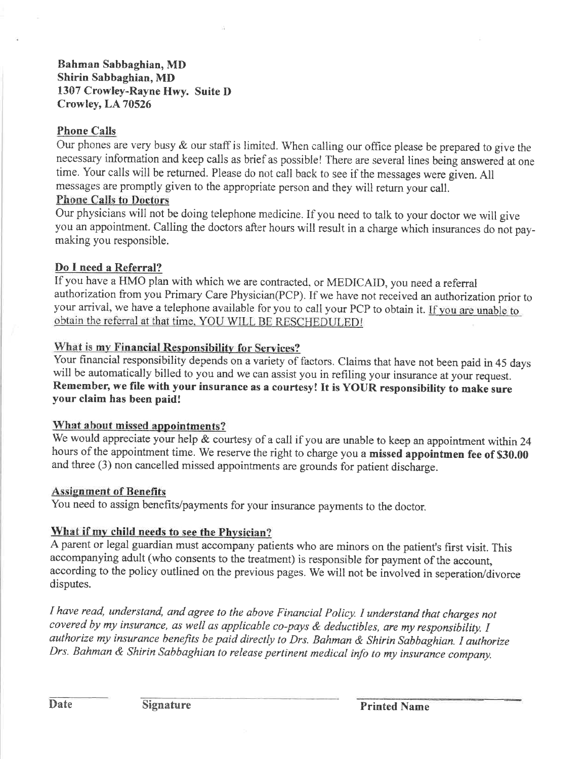Bahrnan Sabbaghian, MD Shirin Sabbaghian, MD 1307 Crowley-Rayne Hwy. Suite D Crowley, LA 70526

#### Phone Calls

Our phones are very busy & our staff is limited. When calling our office please be prepared to give the necessary information and keep calls as brief as possible! There are several lines being answered at one time. Your calls will be returned. Please do not call back to see if the messages were given. All messages are promptly given to the apprepriate person and they will retum your call.

#### Phone Calls to Doctors

Our physicians will not be doing telephone medicine. If you need to talk to your doctor we will give you an appointment. Calling the doctors after hours will result in a charge which insurances do not paymaking you responsible.

#### Do I need a Referral?

If you have a HMO plan with which we are contracted, or MEDICAID, you need a referral authorization from you Primary Care Physician(PCP). If we have not received an authorization prior to your arrival, we have a telephone available for you to call your PCP to obtain it. If you are unable to

#### What is my Financial Responsibility for Services?

Your financial responsibility depends on a variety of factors. Claims that have not been paid in 45 days will be automatically billed to you and we can assist you in refiling your insurance at your request. Remember, we file with your insurance as a courtesyl It is YOUR responsibility to make sure your claim has been paid!

#### What about missed appointments?

We would appreciate your help & courtesy of a call if you are unable to keep an appointment within 24 hours of the appointment time. We reserve the right to charge you a missed appointmen fee of \$30.00 and three (3) non cancelled missed appointments are grounds for patient discharge.

#### Assignment of Benefits

You need to assign benefits/payments for your insurance payments to the doctor

#### What if my child needs to see the Physician?

A parent or legal guardian must accompany patients who are minors on the patient's first visit. This accompanying adult (who consents to the treatment) is responsible for payment of the account, according to the policy outlined on the previous pages. We will not be involved in seperation/divorce disputes.

I have read, understand, and agree to the above Financial Policy. I understand that charges not covered by my insurance, as well as applicable co-pays  $\&$  deductibles, are my responsibility. I authorize my insurance benefits be paid directly to Drs. Bahman & Shirin Sabbaghian. I authorize Drs. Bahman & Shirin Sabbaghian to release pertinent medical info to my insurance company.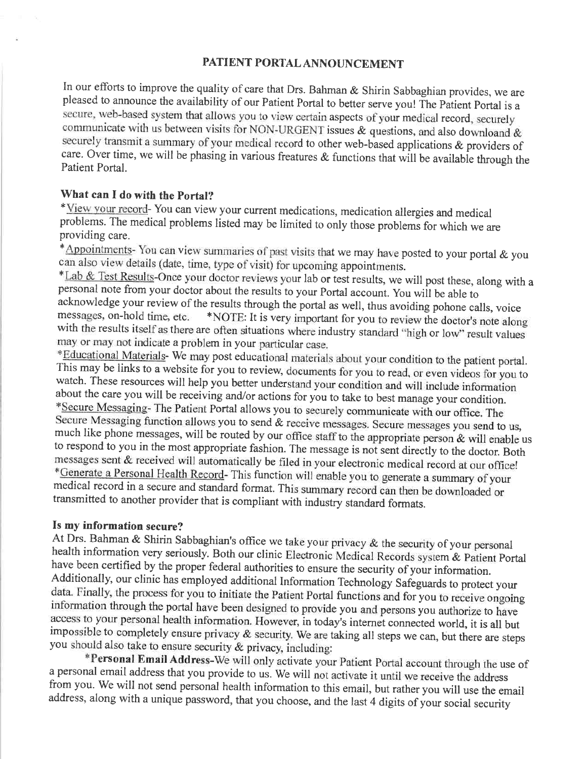#### PATIENT PORTAL ANNOUNCEMENT

In our efforts to improve the quality of care that Drs. Bahman & Shirin Sabbaghian provides, we are pleased to announce the availability of our Patient Portal to better serve you! The patient portal is <sup>a</sup> secure, web-based system that allows you to view certain aspects of your medical record, securely communicate with us between visits for NON-URGENT issues  $\&$  questions, and also downloand  $\&$ securely transmit a summary of your medical record to other web-based applications & providers of care. Over time, we will be phasing in various freatures  $\&$  functions that will be available through the Patient Portal.

#### What can I do with the Portal?

\*View your record- You can view your current medications, medication allergies and medical problems. The medical problems listed may be limited to only those problems for which we are providing care.

\*Appointments- You can view summaries of past visits that we may have posted to your portal  $\&$  you can also view details (date, time, type of visit) for upcoming appointments.

\*Lab & Test Results-Once your doctor reviews your lab or test results, we will post these, along with a personal note from your doctor about the results to your Portal account. you wiil be able to acknowledge your review of the results through the portal as well, thus avoiding pohone calls, voice messages, on-hold time, etc. \*NOTE: It is very important for you to review the doctor's note along with the results itself as there are often situations where industry standard "high or low" result values may or may not indicate a problem in your particular case.

\*Educational Materials-We may post educational materials about your condition to the patient portal.<br>This may be links to a website for you to review, documents for you to read, or even videos for you to watch. These reso \*Generate a Personal Health Record- This function will enable you to generate a summary of your medical record in a secure and standard format. This summary record can then be downloaded or transmitted to another provider

Is my information secure?<br>At Drs. Bahman & Shirin Sabbaghian's office we take your privacy & the security of your personal health information very seriously. Both our clinic Electronic Medical Records system & Patient Portal have been certified by the proper federal authorities to ensure the security of your information. Additionally, our clinic has employed additional Information Technology Safeguards to protect your data. Finally, the process for you to initiate the Patient Portal functions and for you to receive ongoing information thro impossible to completely ensure privacy  $\&$  security. We are taking all steps we can, but there are steps you should also take to ensure security  $\&$  privacy, including:

\*Personal Email Address-We will only activate your Patient Portal account through the use of a personal email address that you provide to us. We will not activate it until we receive the address from you. We will not send personal health information to this email, but rather you will use the email address, along with a unique password, that you choose, and the last 4 digits of your social security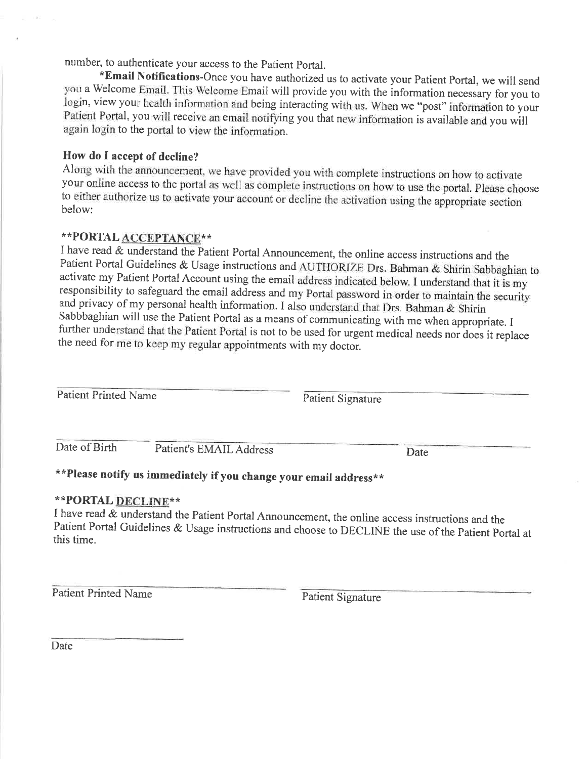number, to authenticate your access to the patient portal.

\*Email Notifications-Once you have authorized us to activate your Patient Portal, we will send<br>you a Welcome Email. This Welcome Email will provide you with the information necessary for you to login, view your health information and being interacting with us. When we "post" information to your Patient Portal, you will receive an email notifying you that new information is available and you will again login to the portal to view the information.

#### How do I accept of decline?

Along with the announcement, we have provided you with complete instructions on how to activate your online access to the portal as well as complete instructions on how to use the portal. please choose to either authorize us to activate your account or decline the activation using the appropriate section below:

### \*\*PORTAL ACCEPTANCE\*\*

I have read & understand the Patient Portal Announcement, the online access instructions and the<br>Patient Portal Guidelines & Usage instructions and AUTHORIZE Drs. Bahman & Shirin Sabbaghian to activate my Patient Portal Account using the email address indicated below. I understand that it is my responsibility to safeguard the email address and my Portal password in order to maintain the security and privacy of my personal health information. I also understand that Drs. Bahman & Shirin Sabbbaghian will use the Patient Portal as a means of communicating with me when appropriate. <sup>I</sup> further understand that the Patient Portal is not to be used for urgent medical needs nor does it replace the need for me to keep my regular appointments with my doctor.

Patient Printed Name Patient Signature

Date of Birth Patient's EMAIL Address Date

## \*\*Please notify us immediately if you change your email address\*\*

\*\*PORTAL DECLINE\*\*<br>I have read & understand the Patient Portal Announcement, the online access instructions and the Patient Portal Guidelines & Usage instructions and choose to DECLINE the use of the Patient Portal at this time.

Patient Printed Name Patient Signature

**Date**